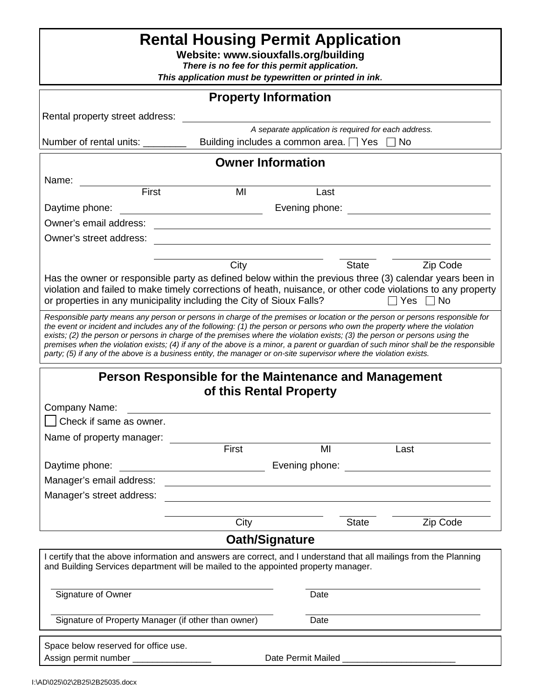| <b>Rental Housing Permit Application</b><br>Website: www.siouxfalls.org/building<br>There is no fee for this permit application.<br>This application must be typewritten or printed in ink.                                                                                                                                                                                                                                                                                                                                                                                                                                                             |                                                                                                                       |                                                                                                     |       |          |
|---------------------------------------------------------------------------------------------------------------------------------------------------------------------------------------------------------------------------------------------------------------------------------------------------------------------------------------------------------------------------------------------------------------------------------------------------------------------------------------------------------------------------------------------------------------------------------------------------------------------------------------------------------|-----------------------------------------------------------------------------------------------------------------------|-----------------------------------------------------------------------------------------------------|-------|----------|
| <b>Property Information</b>                                                                                                                                                                                                                                                                                                                                                                                                                                                                                                                                                                                                                             |                                                                                                                       |                                                                                                     |       |          |
| Rental property street address:                                                                                                                                                                                                                                                                                                                                                                                                                                                                                                                                                                                                                         |                                                                                                                       |                                                                                                     |       |          |
| Number of rental units:                                                                                                                                                                                                                                                                                                                                                                                                                                                                                                                                                                                                                                 |                                                                                                                       | A separate application is required for each address.<br>Building includes a common area. $\Box$ Yes |       | No.      |
| <b>Owner Information</b>                                                                                                                                                                                                                                                                                                                                                                                                                                                                                                                                                                                                                                |                                                                                                                       |                                                                                                     |       |          |
| Name:                                                                                                                                                                                                                                                                                                                                                                                                                                                                                                                                                                                                                                                   |                                                                                                                       |                                                                                                     |       |          |
| First                                                                                                                                                                                                                                                                                                                                                                                                                                                                                                                                                                                                                                                   | MI                                                                                                                    | Last                                                                                                |       |          |
| Daytime phone:                                                                                                                                                                                                                                                                                                                                                                                                                                                                                                                                                                                                                                          |                                                                                                                       | Evening phone:                                                                                      |       |          |
| Owner's email address:                                                                                                                                                                                                                                                                                                                                                                                                                                                                                                                                                                                                                                  |                                                                                                                       |                                                                                                     |       |          |
| Owner's street address:                                                                                                                                                                                                                                                                                                                                                                                                                                                                                                                                                                                                                                 |                                                                                                                       |                                                                                                     |       |          |
|                                                                                                                                                                                                                                                                                                                                                                                                                                                                                                                                                                                                                                                         |                                                                                                                       |                                                                                                     |       |          |
| City<br><b>State</b><br>Zip Code<br>Has the owner or responsible party as defined below within the previous three (3) calendar years been in<br>violation and failed to make timely corrections of heath, nuisance, or other code violations to any property<br>or properties in any municipality including the City of Sioux Falls?<br>Yes<br>No                                                                                                                                                                                                                                                                                                       |                                                                                                                       |                                                                                                     |       |          |
| Responsible party means any person or persons in charge of the premises or location or the person or persons responsible for<br>the event or incident and includes any of the following: (1) the person or persons who own the property where the violation<br>exists; (2) the person or persons in charge of the premises where the violation exists; (3) the person or persons using the<br>premises when the violation exists; (4) if any of the above is a minor, a parent or guardian of such minor shall be the responsible<br>party; (5) if any of the above is a business entity, the manager or on-site supervisor where the violation exists. |                                                                                                                       |                                                                                                     |       |          |
| Person Responsible for the Maintenance and Management<br>of this Rental Property                                                                                                                                                                                                                                                                                                                                                                                                                                                                                                                                                                        |                                                                                                                       |                                                                                                     |       |          |
| Company Name:                                                                                                                                                                                                                                                                                                                                                                                                                                                                                                                                                                                                                                           |                                                                                                                       |                                                                                                     |       |          |
| Check if same as owner.                                                                                                                                                                                                                                                                                                                                                                                                                                                                                                                                                                                                                                 |                                                                                                                       |                                                                                                     |       |          |
| Name of property manager:                                                                                                                                                                                                                                                                                                                                                                                                                                                                                                                                                                                                                               |                                                                                                                       |                                                                                                     |       |          |
|                                                                                                                                                                                                                                                                                                                                                                                                                                                                                                                                                                                                                                                         |                                                                                                                       | MI                                                                                                  |       | Last     |
| Daytime phone:                                                                                                                                                                                                                                                                                                                                                                                                                                                                                                                                                                                                                                          |                                                                                                                       |                                                                                                     |       |          |
| Manager's email address:                                                                                                                                                                                                                                                                                                                                                                                                                                                                                                                                                                                                                                | <u> 1980 - Johann Stoff, deutscher Stoff, der Stoff, der Stoff, der Stoff, der Stoff, der Stoff, der Stoff, der S</u> |                                                                                                     |       |          |
| Manager's street address:                                                                                                                                                                                                                                                                                                                                                                                                                                                                                                                                                                                                                               | <u> 1989 - Johann Stoff, deutscher Stoff, der Stoff, der Stoff, der Stoff, der Stoff, der Stoff, der Stoff, der S</u> |                                                                                                     |       |          |
|                                                                                                                                                                                                                                                                                                                                                                                                                                                                                                                                                                                                                                                         |                                                                                                                       |                                                                                                     |       |          |
|                                                                                                                                                                                                                                                                                                                                                                                                                                                                                                                                                                                                                                                         |                                                                                                                       |                                                                                                     |       |          |
| Oath/Signature                                                                                                                                                                                                                                                                                                                                                                                                                                                                                                                                                                                                                                          |                                                                                                                       |                                                                                                     |       |          |
| I certify that the above information and answers are correct, and I understand that all mailings from the Planning<br>and Building Services department will be mailed to the appointed property manager.                                                                                                                                                                                                                                                                                                                                                                                                                                                |                                                                                                                       |                                                                                                     |       |          |
| Signature of Owner                                                                                                                                                                                                                                                                                                                                                                                                                                                                                                                                                                                                                                      |                                                                                                                       | Date                                                                                                |       |          |
| Signature of Property Manager (if other than owner)                                                                                                                                                                                                                                                                                                                                                                                                                                                                                                                                                                                                     |                                                                                                                       | Date                                                                                                |       |          |
| Space below reserved for office use.<br>Assign permit number __________________                                                                                                                                                                                                                                                                                                                                                                                                                                                                                                                                                                         |                                                                                                                       |                                                                                                     |       |          |
|                                                                                                                                                                                                                                                                                                                                                                                                                                                                                                                                                                                                                                                         | First<br>City                                                                                                         |                                                                                                     | State | Zip Code |